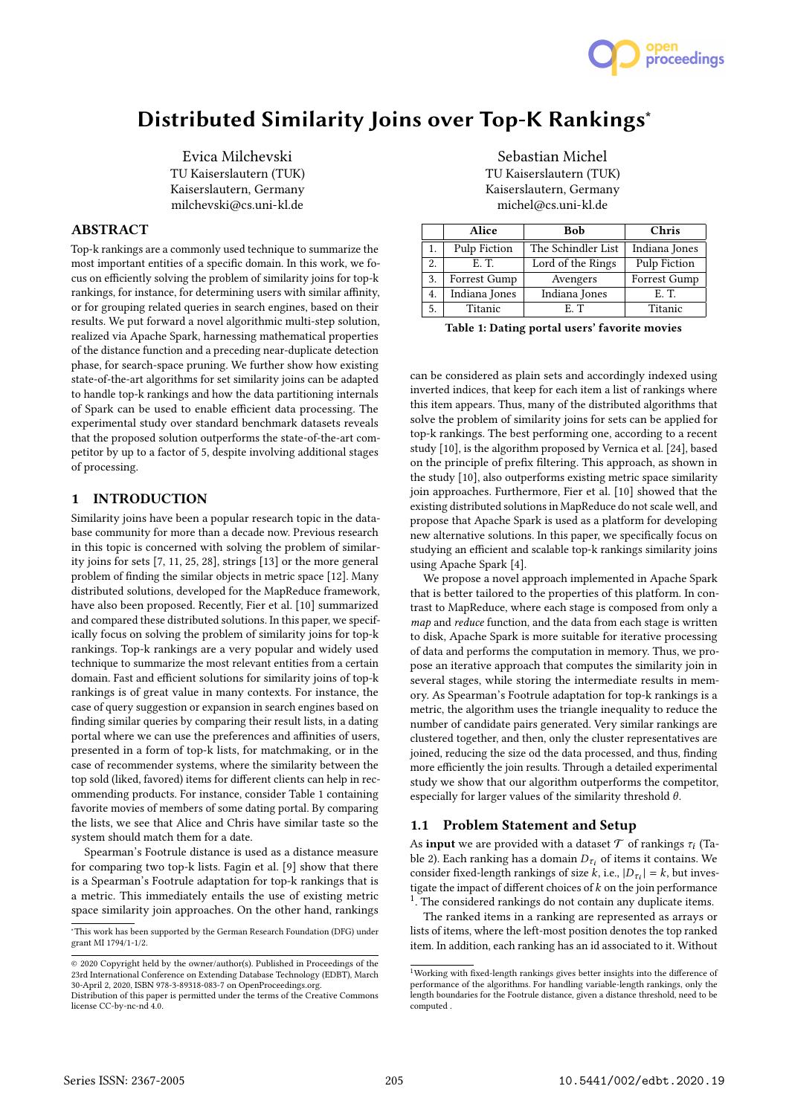

# Distributed Similarity Joins over Top-K Rankings<sup>∗</sup>

Evica Milchevski TU Kaiserslautern (TUK) Kaiserslautern, Germany milchevski@cs.uni-kl.de

# ABSTRACT

Top-k rankings are a commonly used technique to summarize the most important entities of a specific domain. In this work, we focus on efficiently solving the problem of similarity joins for top-k rankings, for instance, for determining users with similar affinity, or for grouping related queries in search engines, based on their results. We put forward a novel algorithmic multi-step solution, realized via Apache Spark, harnessing mathematical properties of the distance function and a preceding near-duplicate detection phase, for search-space pruning. We further show how existing state-of-the-art algorithms for set similarity joins can be adapted to handle top-k rankings and how the data partitioning internals of Spark can be used to enable efficient data processing. The experimental study over standard benchmark datasets reveals that the proposed solution outperforms the state-of-the-art competitor by up to a factor of 5, despite involving additional stages of processing.

## 1 INTRODUCTION

Similarity joins have been a popular research topic in the database community for more than a decade now. Previous research in this topic is concerned with solving the problem of similarity joins for sets [7, 11, 25, 28], strings [13] or the more general problem of finding the similar objects in metric space [12]. Many distributed solutions, developed for the MapReduce framework, have also been proposed. Recently, Fier et al. [10] summarized and compared these distributed solutions. In this paper, we specifically focus on solving the problem of similarity joins for top-k rankings. Top-k rankings are a very popular and widely used technique to summarize the most relevant entities from a certain domain. Fast and efficient solutions for similarity joins of top-k rankings is of great value in many contexts. For instance, the case of query suggestion or expansion in search engines based on finding similar queries by comparing their result lists, in a dating portal where we can use the preferences and affinities of users, presented in a form of top-k lists, for matchmaking, or in the case of recommender systems, where the similarity between the top sold (liked, favored) items for diferent clients can help in recommending products. For instance, consider Table 1 containing favorite movies of members of some dating portal. By comparing the lists, we see that Alice and Chris have similar taste so the system should match them for a date.

Spearman's Footrule distance is used as a distance measure for comparing two top-k lists. Fagin et al. [9] show that there is a Spearman's Footrule adaptation for top-k rankings that is a metric. This immediately entails the use of existing metric space similarity join approaches. On the other hand, rankings

Sebastian Michel TU Kaiserslautern (TUK) Kaiserslautern, Germany michel@cs.uni-kl.de

|    | Alice         | <b>Bob</b>         | Chris         |
|----|---------------|--------------------|---------------|
| 1. | Pulp Fiction  | The Schindler List | Indiana Jones |
| 2. | E. T.         | Lord of the Rings  | Pulp Fiction  |
| 3. | Forrest Gump  | Avengers           | Forrest Gump  |
| 4. | Indiana Jones | Indiana Jones      | E.T.          |
| 5. | Titanic       | E.T                | Titanic       |

Table 1: Dating portal users' favorite movies

can be considered as plain sets and accordingly indexed using inverted indices, that keep for each item a list of rankings where this item appears. Thus, many of the distributed algorithms that solve the problem of similarity joins for sets can be applied for top-k rankings. The best performing one, according to a recent study [10], is the algorithm proposed by Vernica et al. [24], based on the principle of prefix filtering. This approach, as shown in the study [10], also outperforms existing metric space similarity join approaches. Furthermore, Fier et al. [10] showed that the existing distributed solutions in MapReduce do not scale well, and propose that Apache Spark is used as a platform for developing new alternative solutions. In this paper, we specifically focus on studying an efficient and scalable top-k rankings similarity joins using Apache Spark [4].

We propose a novel approach implemented in Apache Spark that is better tailored to the properties of this platform. In contrast to MapReduce, where each stage is composed from only a map and reduce function, and the data from each stage is written to disk, Apache Spark is more suitable for iterative processing of data and performs the computation in memory. Thus, we propose an iterative approach that computes the similarity join in several stages, while storing the intermediate results in memory. As Spearman's Footrule adaptation for top-k rankings is a metric, the algorithm uses the triangle inequality to reduce the number of candidate pairs generated. Very similar rankings are clustered together, and then, only the cluster representatives are joined, reducing the size od the data processed, and thus, finding more efficiently the join results. Through a detailed experimental study we show that our algorithm outperforms the competitor, especially for larger values of the similarity threshold  $\theta$ .

## 1.1 Problem Statement and Setup

As **input** we are provided with a dataset  $\mathcal T$  of rankings  $\tau_i$  (Table 2). Each ranking has a domain  $D_{\tau_i}$  of items it contains. We consider fixed-length rankings of size  $k$ , i.e.,  $|D_{\tau_i}| = k$ , but investigate the impact of different choices of  $k$  on the join performance <sup>1</sup>. The considered rankings do not contain any duplicate items.

The ranked items in a ranking are represented as arrays or lists of items, where the left-most position denotes the top ranked item. In addition, each ranking has an id associated to it. Without

<sup>∗</sup>This work has been supported by the German Research Foundation (DFG) under grant MI 1794/1-1/2.

<sup>©</sup> 2020 Copyright held by the owner/author(s). Published in Proceedings of the 23rd International Conference on Extending Database Technology (EDBT), March 30-April 2, 2020, ISBN 978-3-89318-083-7 on OpenProceedings.org.

Distribution of this paper is permitted under the terms of the Creative Commons license CC-by-nc-nd 4.0.

 $^{\rm 1}$  Working with fixed-length rankings gives better insights into the difference of performance of the algorithms. For handling variable-length rankings, only the length boundaries for the Footrule distance, given a distance threshold, need to be computed .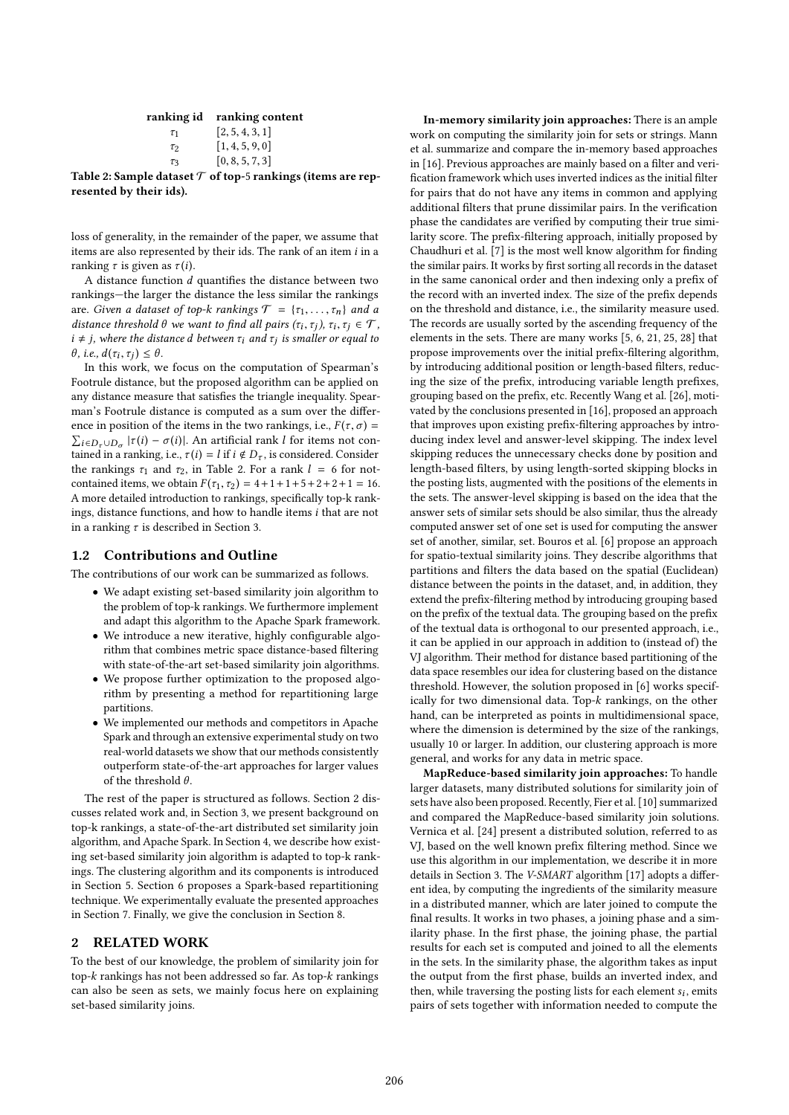|          | ranking id ranking content |
|----------|----------------------------|
| $\tau_1$ | [2, 5, 4, 3, 1]            |
| $\tau_2$ | [1, 4, 5, 9, 0]            |
| $\tau_3$ | [0, 8, 5, 7, 3]            |

Table 2: Sample dataset  $\mathcal T$  of top-5 rankings (items are represented by their ids).

loss of generality, in the remainder of the paper, we assume that items are also represented by their ids. The rank of an item  $i$  in a ranking  $\tau$  is given as  $\tau(i)$ .

A distance function  $d$  quantifies the distance between two rankings-the larger the distance the less similar the rankings are. Given a dataset of top-k rankings  $\mathcal{T} = {\tau_1, \ldots, \tau_n}$  and a distance threshold  $\theta$  we want to find all pairs  $(\tau_i, \tau_j)$ ,  $\tau_i, \tau_j \in \mathcal{T}$ ,  $i \neq j$ , where the distance d between  $\tau_i$  and  $\tau_j$  is smaller or equal to  $\theta$ , i.e.,  $d(\tau_i, \tau_j) \leq \theta$ .

In this work, we focus on the computation of Spearman's Footrule distance, but the proposed algorithm can be applied on any distance measure that satisfies the triangle inequality. Spearman's Footrule distance is computed as a sum over the diference in position of the items in the two rankings, i.e.,  $F(\tau, \sigma) =$  $\sum_{i \in D_{\tau} \cup D_{\sigma}} |\tau(i) - \sigma(i)|$ . An artificial rank l for items not contained in a ranking, i.e.,  $\tau(i) = l$  if  $i \notin D_{\tau}$ , is considered. Consider the rankings  $\tau_1$  and  $\tau_2$ , in Table 2. For a rank  $l = 6$  for notcontained items, we obtain  $F(\tau_1, \tau_2) = 4 + 1 + 1 + 5 + 2 + 2 + 1 = 16$ . A more detailed introduction to rankings, specifically top-k rankings, distance functions, and how to handle items i that are not in a ranking  $\tau$  is described in Section 3.

## 1.2 Contributions and Outline

The contributions of our work can be summarized as follows.

- We adapt existing set-based similarity join algorithm to the problem of top-k rankings. We furthermore implement and adapt this algorithm to the Apache Spark framework.
- We introduce a new iterative, highly configurable algorithm that combines metric space distance-based filtering with state-of-the-art set-based similarity join algorithms.
- We propose further optimization to the proposed algorithm by presenting a method for repartitioning large partitions.
- We implemented our methods and competitors in Apache Spark and through an extensive experimental study on two real-world datasets we show that our methods consistently outperform state-of-the-art approaches for larger values of the threshold  $\theta$ .

The rest of the paper is structured as follows. Section 2 discusses related work and, in Section 3, we present background on top-k rankings, a state-of-the-art distributed set similarity join algorithm, and Apache Spark. In Section 4, we describe how existing set-based similarity join algorithm is adapted to top-k rankings. The clustering algorithm and its components is introduced in Section 5. Section 6 proposes a Spark-based repartitioning technique. We experimentally evaluate the presented approaches in Section 7. Finally, we give the conclusion in Section 8.

## 2 RELATED WORK

To the best of our knowledge, the problem of similarity join for top- $k$  rankings has not been addressed so far. As top- $k$  rankings can also be seen as sets, we mainly focus here on explaining set-based similarity joins.

In-memory similarity join approaches: There is an ample work on computing the similarity join for sets or strings. Mann et al. summarize and compare the in-memory based approaches in [16]. Previous approaches are mainly based on a filter and verification framework which uses inverted indices as the initial filter for pairs that do not have any items in common and applying additional filters that prune dissimilar pairs. In the verification phase the candidates are verified by computing their true similarity score. The prefix-filtering approach, initially proposed by Chaudhuri et al. [7] is the most well know algorithm for finding the similar pairs. It works by first sorting all records in the dataset in the same canonical order and then indexing only a prefix of the record with an inverted index. The size of the prefix depends on the threshold and distance, i.e., the similarity measure used. The records are usually sorted by the ascending frequency of the elements in the sets. There are many works [5, 6, 21, 25, 28] that propose improvements over the initial prefix-filtering algorithm, by introducing additional position or length-based filters, reducing the size of the prefix, introducing variable length prefixes, grouping based on the prefix, etc. Recently Wang et al. [26], motivated by the conclusions presented in [16], proposed an approach that improves upon existing prefix-filtering approaches by introducing index level and answer-level skipping. The index level skipping reduces the unnecessary checks done by position and length-based filters, by using length-sorted skipping blocks in the posting lists, augmented with the positions of the elements in the sets. The answer-level skipping is based on the idea that the answer sets of similar sets should be also similar, thus the already computed answer set of one set is used for computing the answer set of another, similar, set. Bouros et al. [6] propose an approach for spatio-textual similarity joins. They describe algorithms that partitions and filters the data based on the spatial (Euclidean) distance between the points in the dataset, and, in addition, they extend the prefix-filtering method by introducing grouping based on the prefix of the textual data. The grouping based on the prefix of the textual data is orthogonal to our presented approach, i.e., it can be applied in our approach in addition to (instead of) the VJ algorithm. Their method for distance based partitioning of the data space resembles our idea for clustering based on the distance threshold. However, the solution proposed in [6] works specifically for two dimensional data. Top- $k$  rankings, on the other hand, can be interpreted as points in multidimensional space, where the dimension is determined by the size of the rankings, usually 10 or larger. In addition, our clustering approach is more general, and works for any data in metric space.

MapReduce-based similarity join approaches: To handle larger datasets, many distributed solutions for similarity join of sets have also been proposed. Recently, Fier et al. [10] summarized and compared the MapReduce-based similarity join solutions. Vernica et al. [24] present a distributed solution, referred to as VJ, based on the well known prefix filtering method. Since we use this algorithm in our implementation, we describe it in more details in Section 3. The V-SMART algorithm [17] adopts a diferent idea, by computing the ingredients of the similarity measure in a distributed manner, which are later joined to compute the final results. It works in two phases, a joining phase and a similarity phase. In the first phase, the joining phase, the partial results for each set is computed and joined to all the elements in the sets. In the similarity phase, the algorithm takes as input the output from the first phase, builds an inverted index, and then, while traversing the posting lists for each element  $s_i$ , emits pairs of sets together with information needed to compute the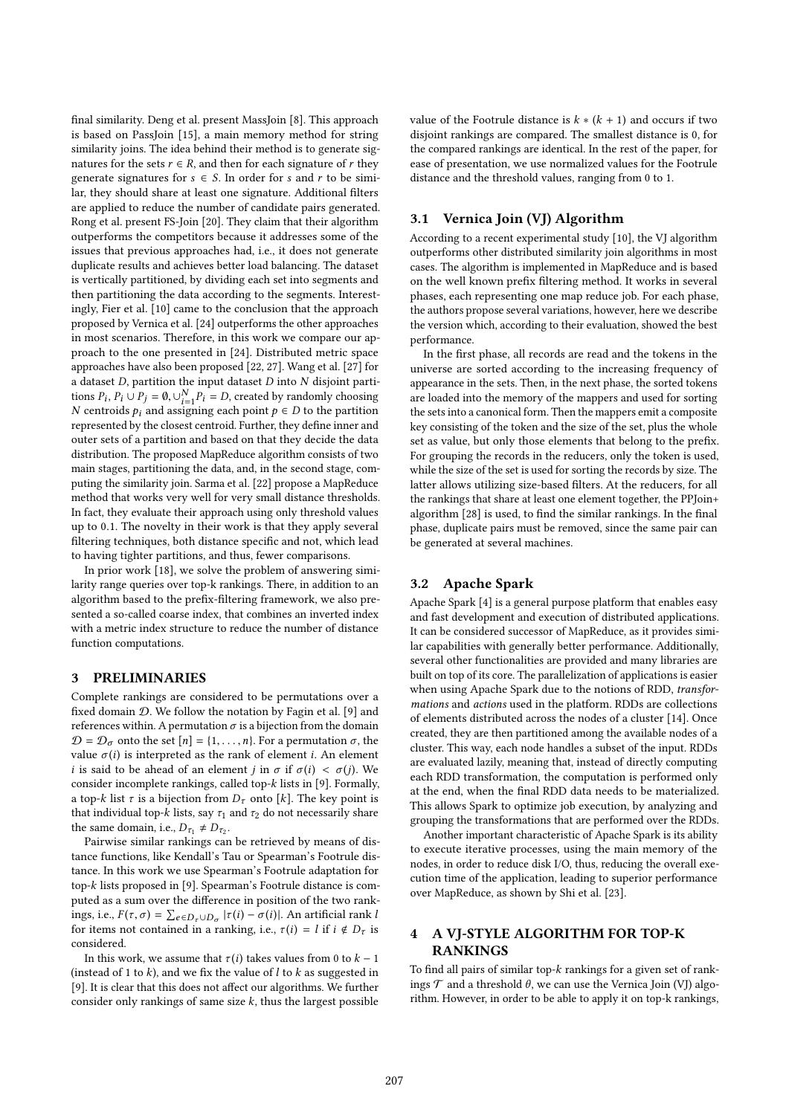final similarity. Deng et al. present MassJoin [8]. This approach is based on PassJoin [15], a main memory method for string similarity joins. The idea behind their method is to generate signatures for the sets  $r \in R$ , and then for each signature of r they generate signatures for  $s \in S$ . In order for s and r to be similar, they should share at least one signature. Additional filters are applied to reduce the number of candidate pairs generated. Rong et al. present FS-Join [20]. They claim that their algorithm outperforms the competitors because it addresses some of the issues that previous approaches had, i.e., it does not generate duplicate results and achieves better load balancing. The dataset is vertically partitioned, by dividing each set into segments and then partitioning the data according to the segments. Interestingly, Fier et al. [10] came to the conclusion that the approach proposed by Vernica et al. [24] outperforms the other approaches in most scenarios. Therefore, in this work we compare our approach to the one presented in [24]. Distributed metric space approaches have also been proposed [22, 27]. Wang et al. [27] for a dataset  $D$ , partition the input dataset  $D$  into  $N$  disjoint partitions  $P_i$ ,  $P_i \cup P_j = \emptyset$ ,  $\cup_{i=1}^N P_i = D$ , created by randomly choosing N centroids  $p_i$  and assigning each point  $p \in D$  to the partition represented by the closest centroid. Further, they define inner and outer sets of a partition and based on that they decide the data distribution. The proposed MapReduce algorithm consists of two main stages, partitioning the data, and, in the second stage, computing the similarity join. Sarma et al. [22] propose a MapReduce method that works very well for very small distance thresholds. In fact, they evaluate their approach using only threshold values up to 0.1. The novelty in their work is that they apply several filtering techniques, both distance specific and not, which lead to having tighter partitions, and thus, fewer comparisons.

In prior work [18], we solve the problem of answering similarity range queries over top-k rankings. There, in addition to an algorithm based to the prefix-filtering framework, we also presented a so-called coarse index, that combines an inverted index with a metric index structure to reduce the number of distance function computations.

## 3 PRELIMINARIES

Complete rankings are considered to be permutations over a fixed domain  $D$ . We follow the notation by Fagin et al. [9] and references within. A permutation  $\sigma$  is a bijection from the domain  $\mathcal{D} = \mathcal{D}_{\sigma}$  onto the set  $[n] = \{1, \ldots, n\}$ . For a permutation  $\sigma$ , the value  $\sigma(i)$  is interpreted as the rank of element *i*. An element i is said to be ahead of an element j in  $\sigma$  if  $\sigma(i) < \sigma(j)$ . We consider incomplete rankings, called top-k lists in [9]. Formally, a top-k list  $\tau$  is a bijection from  $D_{\tau}$  onto [k]. The key point is that individual top-k lists, say  $\tau_1$  and  $\tau_2$  do not necessarily share the same domain, i.e.,  $D_{\tau_1} \neq D_{\tau_2}$ .

Pairwise similar rankings can be retrieved by means of distance functions, like Kendall's Tau or Spearman's Footrule distance. In this work we use Spearman's Footrule adaptation for top-k lists proposed in [9]. Spearman's Footrule distance is computed as a sum over the diference in position of the two rankings, i.e.,  $F(\tau, \sigma) = \sum_{e \in D_{\tau} \cup D_{\sigma}} |\tau(i) - \sigma(i)|$ . An artificial rank l for items not contained in a ranking, i.e.,  $\tau(i) = l$  if  $i \notin D_{\tau}$  is considered.

In this work, we assume that  $\tau(i)$  takes values from 0 to  $k - 1$ (instead of 1 to k), and we fix the value of l to k as suggested in [9]. It is clear that this does not affect our algorithms. We further consider only rankings of same size  $k$ , thus the largest possible

value of the Footrule distance is  $k * (k + 1)$  and occurs if two disjoint rankings are compared. The smallest distance is 0, for the compared rankings are identical. In the rest of the paper, for ease of presentation, we use normalized values for the Footrule distance and the threshold values, ranging from 0 to 1.

## 3.1 Vernica Join (VJ) Algorithm

According to a recent experimental study [10], the VJ algorithm outperforms other distributed similarity join algorithms in most cases. The algorithm is implemented in MapReduce and is based on the well known prefix filtering method. It works in several phases, each representing one map reduce job. For each phase, the authors propose several variations, however, here we describe the version which, according to their evaluation, showed the best performance.

In the first phase, all records are read and the tokens in the universe are sorted according to the increasing frequency of appearance in the sets. Then, in the next phase, the sorted tokens are loaded into the memory of the mappers and used for sorting the sets into a canonical form. Then the mappers emit a composite key consisting of the token and the size of the set, plus the whole set as value, but only those elements that belong to the prefix. For grouping the records in the reducers, only the token is used, while the size of the set is used for sorting the records by size. The latter allows utilizing size-based filters. At the reducers, for all the rankings that share at least one element together, the PPJoin+ algorithm [28] is used, to find the similar rankings. In the final phase, duplicate pairs must be removed, since the same pair can be generated at several machines.

#### 3.2 Apache Spark

Apache Spark [4] is a general purpose platform that enables easy and fast development and execution of distributed applications. It can be considered successor of MapReduce, as it provides similar capabilities with generally better performance. Additionally, several other functionalities are provided and many libraries are built on top of its core. The parallelization of applications is easier when using Apache Spark due to the notions of RDD, transformations and actions used in the platform. RDDs are collections of elements distributed across the nodes of a cluster [14]. Once created, they are then partitioned among the available nodes of a cluster. This way, each node handles a subset of the input. RDDs are evaluated lazily, meaning that, instead of directly computing each RDD transformation, the computation is performed only at the end, when the final RDD data needs to be materialized. This allows Spark to optimize job execution, by analyzing and grouping the transformations that are performed over the RDDs.

Another important characteristic of Apache Spark is its ability to execute iterative processes, using the main memory of the nodes, in order to reduce disk I/O, thus, reducing the overall execution time of the application, leading to superior performance over MapReduce, as shown by Shi et al. [23].

# 4 A VJ-STYLE ALGORITHM FOR TOP-K RANKINGS

To find all pairs of similar top- $k$  rankings for a given set of rankings  $\mathcal T$  and a threshold  $\theta$ , we can use the Vernica Join (VJ) algorithm. However, in order to be able to apply it on top-k rankings,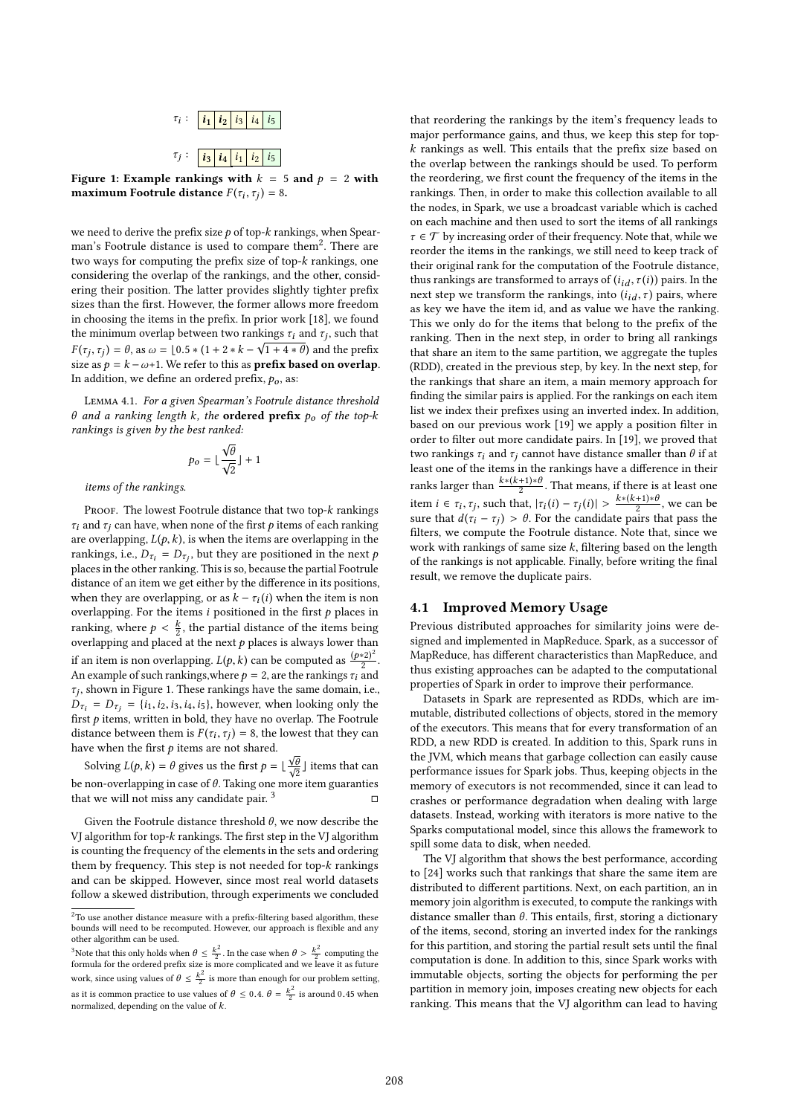

Figure 1: Example rankings with  $k = 5$  and  $p = 2$  with maximum Footrule distance  $F(\tau_i, \tau_j) = 8$ .

we need to derive the prefix size  $p$  of top- $k$  rankings, when Spearman's Footrule distance is used to compare them<sup>2</sup>. There are two ways for computing the prefix size of top- $k$  rankings, one considering the overlap of the rankings, and the other, considering their position. The latter provides slightly tighter prefix sizes than the first. However, the former allows more freedom in choosing the items in the prefix. In prior work [18], we found the minimum overlap between two rankings  $\tau_i$  and  $\tau_j$ , such that  $F(\tau_j, \tau_j) = \theta$ , as  $\omega = [0.5 * (1 + 2 * k - \sqrt{1 + 4 * \theta})$  and the prefix size as  $p = k - \omega + 1$ . We refer to this as **prefix based on overlap**. In addition, we define an ordered prefix,  $p_0$ , as:

Lemma 4.1. For a given Spearman's Footrule distance threshold  $θ$  and a ranking length k, the **ordered prefix**  $ρ<sub>o</sub>$  of the top-k rankings is given by the best ranked:

$$
p_o = \lfloor \frac{\sqrt{\theta}}{\sqrt{2}} \rfloor + 1
$$

items of the rankings.

PROOF. The lowest Footrule distance that two top- $k$  rankings  $\tau_i$  and  $\tau_j$  can have, when none of the first p items of each ranking are overlapping,  $L(p, k)$ , is when the items are overlapping in the rankings, i.e.,  $D_{\tau_i} = D_{\tau_j}$ , but they are positioned in the next  $p$ places in the other ranking. This is so, because the partial Footrule distance of an item we get either by the diference in its positions, when they are overlapping, or as  $k - \tau_i(i)$  when the item is non overlapping. For the items  $i$  positioned in the first  $p$  places in ranking, where  $p < \frac{k}{2}$ , the partial distance of the items being overlapping and placed at the next  $p$  places is always lower than if an item is non overlapping.  $L(p, k)$  can be computed as  $\frac{(p * 2)^2}{2}$  $\frac{2}{2}$ . An example of such rankings, where  $p = 2$ , are the rankings  $\tau_i$  and  $\tau_j$ , shown in Figure 1. These rankings have the same domain, i.e.,  $D_{\tau_i} = D_{\tau_i} = \{i_1, i_2, i_3, i_4, i_5\}$ , however, when looking only the first  $p$  items, written in bold, they have no overlap. The Footrule distance between them is  $F(\tau_i, \tau_j) = 8$ , the lowest that they can have when the first  $p$  items are not shared.

Solving  $L(p, k) = \theta$  gives us the first  $p = \lfloor \frac{\sqrt{\theta}}{\sqrt{2}} \rfloor$  items that can be non-overlapping in case of  $\theta$ . Taking one more item guaranties that we will not miss any candidate pair.  $3$ 

Given the Footrule distance threshold  $\theta$ , we now describe the VJ algorithm for top- $k$  rankings. The first step in the VJ algorithm is counting the frequency of the elements in the sets and ordering them by frequency. This step is not needed for top-k rankings and can be skipped. However, since most real world datasets follow a skewed distribution, through experiments we concluded

that reordering the rankings by the item's frequency leads to major performance gains, and thus, we keep this step for top $k$  rankings as well. This entails that the prefix size based on the overlap between the rankings should be used. To perform the reordering, we first count the frequency of the items in the rankings. Then, in order to make this collection available to all the nodes, in Spark, we use a broadcast variable which is cached on each machine and then used to sort the items of all rankings  $\tau \in \mathcal{T}$  by increasing order of their frequency. Note that, while we reorder the items in the rankings, we still need to keep track of their original rank for the computation of the Footrule distance, thus rankings are transformed to arrays of  $(i_{id}, \tau(i))$  pairs. In the next step we transform the rankings, into  $(i_{id}, \tau)$  pairs, where as key we have the item id, and as value we have the ranking. This we only do for the items that belong to the prefix of the ranking. Then in the next step, in order to bring all rankings that share an item to the same partition, we aggregate the tuples (RDD), created in the previous step, by key. In the next step, for the rankings that share an item, a main memory approach for finding the similar pairs is applied. For the rankings on each item list we index their prefixes using an inverted index. In addition, based on our previous work [19] we apply a position filter in order to filter out more candidate pairs. In [19], we proved that two rankings  $\tau_i$  and  $\tau_j$  cannot have distance smaller than  $\theta$  if at least one of the items in the rankings have a difference in their ranks larger than  $\frac{k*(k+1)*\theta}{2}$ . That means, if there is at least one item  $i \in \tau_i$ ,  $\tau_j$ , such that,  $|\tau_i(i) - \tau_j(i)| > \frac{k*(k+1)*\theta}{2}$ , we can be sure that  $d(\tau_i - \tau_j) > \theta$ . For the candidate pairs that pass the filters, we compute the Footrule distance. Note that, since we work with rankings of same size  $k$ , filtering based on the length of the rankings is not applicable. Finally, before writing the final result, we remove the duplicate pairs.

## 4.1 Improved Memory Usage

Previous distributed approaches for similarity joins were designed and implemented in MapReduce. Spark, as a successor of MapReduce, has diferent characteristics than MapReduce, and thus existing approaches can be adapted to the computational properties of Spark in order to improve their performance.

Datasets in Spark are represented as RDDs, which are immutable, distributed collections of objects, stored in the memory of the executors. This means that for every transformation of an RDD, a new RDD is created. In addition to this, Spark runs in the JVM, which means that garbage collection can easily cause performance issues for Spark jobs. Thus, keeping objects in the memory of executors is not recommended, since it can lead to crashes or performance degradation when dealing with large datasets. Instead, working with iterators is more native to the Sparks computational model, since this allows the framework to spill some data to disk, when needed.

The VJ algorithm that shows the best performance, according to [24] works such that rankings that share the same item are distributed to diferent partitions. Next, on each partition, an in memory join algorithm is executed, to compute the rankings with distance smaller than  $\theta$ . This entails, first, storing a dictionary of the items, second, storing an inverted index for the rankings for this partition, and storing the partial result sets until the final computation is done. In addition to this, since Spark works with immutable objects, sorting the objects for performing the per partition in memory join, imposes creating new objects for each ranking. This means that the VJ algorithm can lead to having

 $^2\!$  To use another distance measure with a prefix-filtering based algorithm, these bounds will need to be recomputed. However, our approach is lexible and any other algorithm can be used.

<sup>&</sup>lt;sup>3</sup>Note that this only holds when  $\theta \leq \frac{k^2}{2}$ . In the case when  $\theta > \frac{k^2}{2}$  computing the formula for the ordered prefix size is more complicated and we leave it as future work, since using values of  $\theta \leq \frac{k^2}{2}$  is more than enough for our problem setting, as it is common practice to use values of  $\theta \le 0.4$ .  $\theta = \frac{k^2}{2}$  is around 0.45 when normalized, depending on the value of k.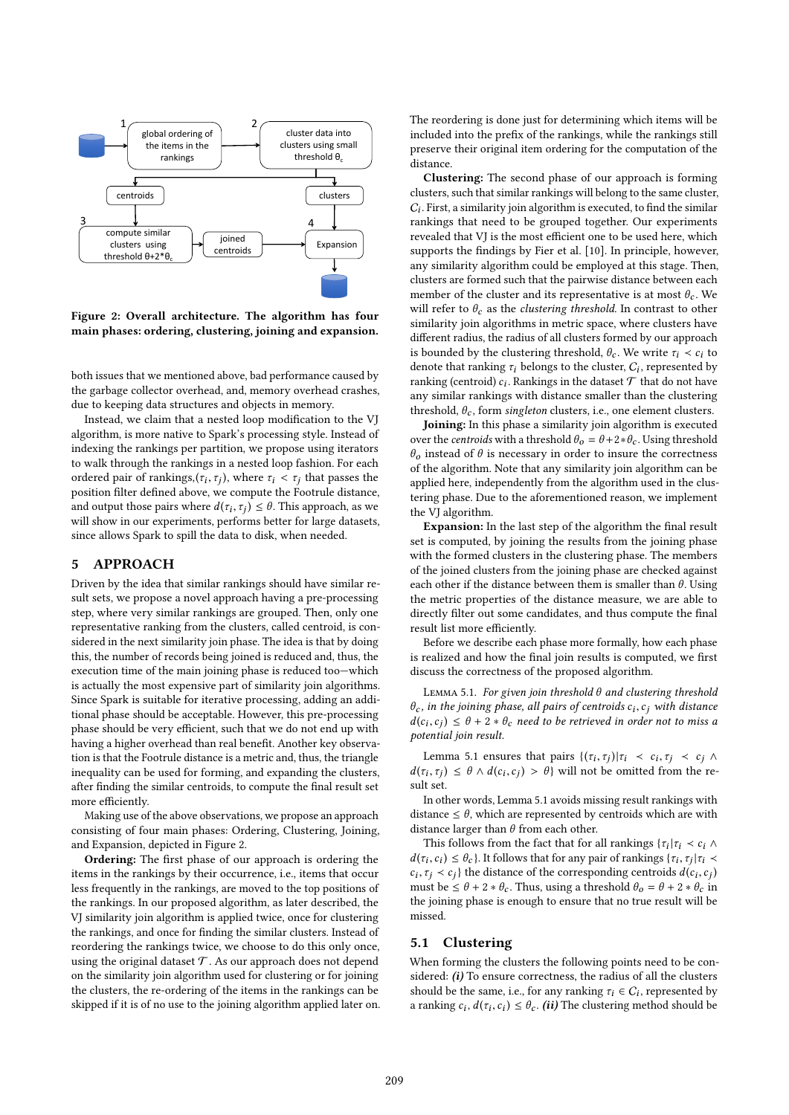

Figure 2: Overall architecture. The algorithm has four main phases: ordering, clustering, joining and expansion.

both issues that we mentioned above, bad performance caused by the garbage collector overhead, and, memory overhead crashes, due to keeping data structures and objects in memory.

Instead, we claim that a nested loop modification to the VJ algorithm, is more native to Spark's processing style. Instead of indexing the rankings per partition, we propose using iterators to walk through the rankings in a nested loop fashion. For each ordered pair of rankings,  $(\tau_i, \tau_j)$ , where  $\tau_i < \tau_j$  that passes the position filter defined above, we compute the Footrule distance, and output those pairs where  $d(\tau_i, \tau_j) \leq \theta$ . This approach, as we will show in our experiments, performs better for large datasets, since allows Spark to spill the data to disk, when needed.

## 5 APPROACH

Driven by the idea that similar rankings should have similar result sets, we propose a novel approach having a pre-processing step, where very similar rankings are grouped. Then, only one representative ranking from the clusters, called centroid, is considered in the next similarity join phase. The idea is that by doing this, the number of records being joined is reduced and, thus, the execution time of the main joining phase is reduced too-which is actually the most expensive part of similarity join algorithms. Since Spark is suitable for iterative processing, adding an additional phase should be acceptable. However, this pre-processing phase should be very efficient, such that we do not end up with having a higher overhead than real benefit. Another key observation is that the Footrule distance is a metric and, thus, the triangle inequality can be used for forming, and expanding the clusters, after finding the similar centroids, to compute the final result set more efficiently.

Making use of the above observations, we propose an approach consisting of four main phases: Ordering, Clustering, Joining, and Expansion, depicted in Figure 2.

Ordering: The first phase of our approach is ordering the items in the rankings by their occurrence, i.e., items that occur less frequently in the rankings, are moved to the top positions of the rankings. In our proposed algorithm, as later described, the VJ similarity join algorithm is applied twice, once for clustering the rankings, and once for finding the similar clusters. Instead of reordering the rankings twice, we choose to do this only once, using the original dataset  $T$ . As our approach does not depend on the similarity join algorithm used for clustering or for joining the clusters, the re-ordering of the items in the rankings can be skipped if it is of no use to the joining algorithm applied later on. The reordering is done just for determining which items will be included into the prefix of the rankings, while the rankings still preserve their original item ordering for the computation of the distance.

Clustering: The second phase of our approach is forming clusters, such that similar rankings will belong to the same cluster,  $C_i$ . First, a similarity join algorithm is executed, to find the similar rankings that need to be grouped together. Our experiments revealed that VJ is the most efficient one to be used here, which supports the findings by Fier et al. [10]. In principle, however, any similarity algorithm could be employed at this stage. Then, clusters are formed such that the pairwise distance between each member of the cluster and its representative is at most  $\theta_c$ . We will refer to  $\theta_c$  as the *clustering threshold*. In contrast to other similarity join algorithms in metric space, where clusters have diferent radius, the radius of all clusters formed by our approach is bounded by the clustering threshold,  $\theta_c$ . We write  $\tau_i \prec c_i$  to denote that ranking  $\tau_i$  belongs to the cluster,  $C_i$ , represented by ranking (centroid)  $c_i$ . Rankings in the dataset  $\mathcal T$  that do not have any similar rankings with distance smaller than the clustering threshold,  $\theta_c$ , form singleton clusters, i.e., one element clusters.

Joining: In this phase a similarity join algorithm is executed over the *centroids* with a threshold  $\theta_o = \theta + 2 * \theta_c$ . Using threshold  $\theta_o$  instead of  $\theta$  is necessary in order to insure the correctness of the algorithm. Note that any similarity join algorithm can be applied here, independently from the algorithm used in the clustering phase. Due to the aforementioned reason, we implement the VJ algorithm.

Expansion: In the last step of the algorithm the final result set is computed, by joining the results from the joining phase with the formed clusters in the clustering phase. The members of the joined clusters from the joining phase are checked against each other if the distance between them is smaller than  $\theta$ . Using the metric properties of the distance measure, we are able to directly filter out some candidates, and thus compute the final result list more efficiently.

Before we describe each phase more formally, how each phase is realized and how the final join results is computed, we first discuss the correctness of the proposed algorithm.

Lemma 5.1. For given join threshold θ and clustering threshold  $\theta_c$ , in the joining phase, all pairs of centroids  $c_i, c_j$  with distance  $d(c_i, c_j) \leq \theta + 2 * \theta_c$  need to be retrieved in order not to miss a potential join result.

Lemma 5.1 ensures that pairs  $\{(\tau_i, \tau_j)|\tau_i \prec c_i, \tau_j \prec c_j \land \tau_j \prec c_j \}$  $d(\tau_i, \tau_j) \leq \theta \wedge d(c_i, c_j) > \theta$  will not be omitted from the result set.

In other words, Lemma 5.1 avoids missing result rankings with distance  $\leq \theta$ , which are represented by centroids which are with distance larger than  $\theta$  from each other.

This follows from the fact that for all rankings { $\tau_i | \tau_i \prec c_i \land \tau_i$  $d(\tau_i, c_i) \leq \theta_c$ . It follows that for any pair of rankings { $\tau_i$ ,  $\tau_j | \tau_i$  <  $c_i, \tau_j \lt c_j$ } the distance of the corresponding centroids  $d(c_i, c_j)$ must be  $\leq \theta + 2 * \theta_c$ . Thus, using a threshold  $\theta_o = \theta + 2 * \theta_c$  in the joining phase is enough to ensure that no true result will be missed.

#### 5.1 Clustering

When forming the clusters the following points need to be considered:  $(i)$  To ensure correctness, the radius of all the clusters should be the same, i.e., for any ranking  $\tau_i \in C_i$ , represented by a ranking  $c_i$ ,  $d(\tau_i, c_i) \leq \theta_c$ . (ii) The clustering method should be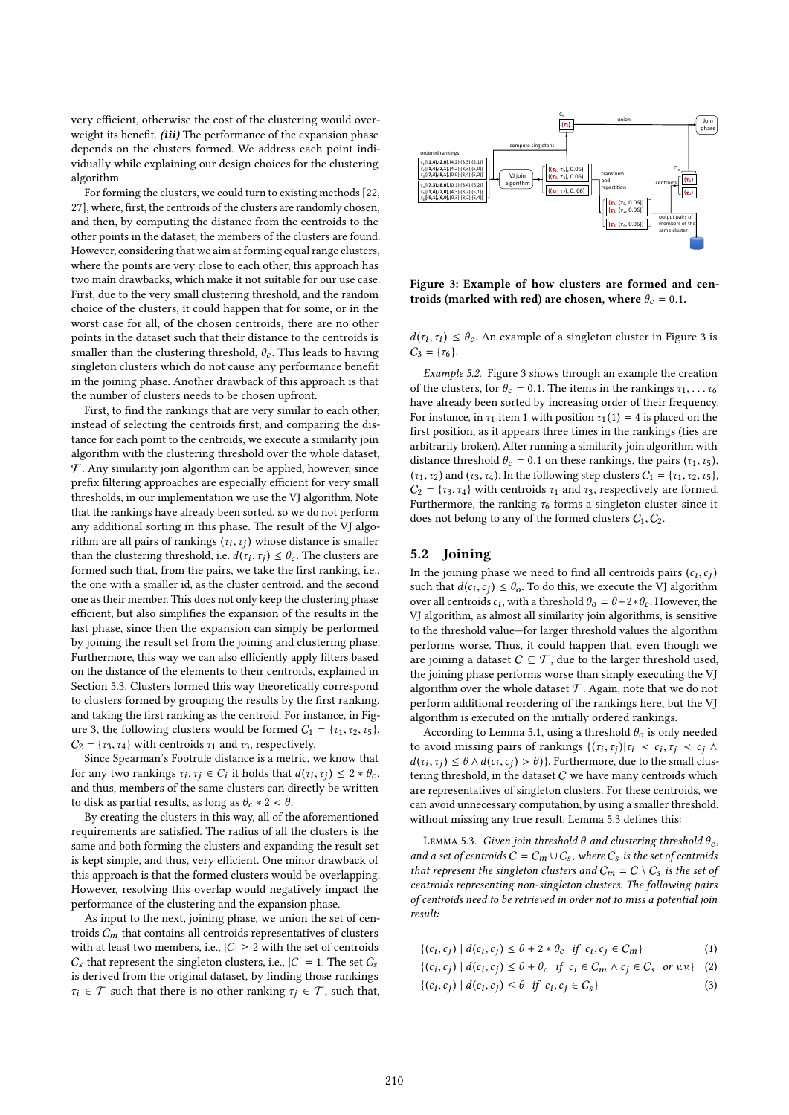very efficient, otherwise the cost of the clustering would overweight its benefit. (iii) The performance of the expansion phase depends on the clusters formed. We address each point individually while explaining our design choices for the clustering algorithm.

For forming the clusters, we could turn to existing methods [22, 27], where, first, the centroids of the clusters are randomly chosen, and then, by computing the distance from the centroids to the other points in the dataset, the members of the clusters are found. However, considering that we aim at forming equal range clusters, where the points are very close to each other, this approach has two main drawbacks, which make it not suitable for our use case. First, due to the very small clustering threshold, and the random choice of the clusters, it could happen that for some, or in the worst case for all, of the chosen centroids, there are no other points in the dataset such that their distance to the centroids is smaller than the clustering threshold,  $\theta_c$ . This leads to having singleton clusters which do not cause any performance benefit in the joining phase. Another drawback of this approach is that the number of clusters needs to be chosen upfront.

First, to find the rankings that are very similar to each other, instead of selecting the centroids first, and comparing the distance for each point to the centroids, we execute a similarity join algorithm with the clustering threshold over the whole dataset,  $\mathcal T$ . Any similarity join algorithm can be applied, however, since prefix filtering approaches are especially efficient for very small thresholds, in our implementation we use the VJ algorithm. Note that the rankings have already been sorted, so we do not perform any additional sorting in this phase. The result of the VJ algorithm are all pairs of rankings  $(\tau_i, \tau_j)$  whose distance is smaller than the clustering threshold, i.e.  $d(\tau_i, \tau_j) \leq \theta_c$ . The clusters are formed such that, from the pairs, we take the first ranking, i.e., the one with a smaller id, as the cluster centroid, and the second one as their member. This does not only keep the clustering phase efficient, but also simplifies the expansion of the results in the last phase, since then the expansion can simply be performed by joining the result set from the joining and clustering phase. Furthermore, this way we can also efficiently apply filters based on the distance of the elements to their centroids, explained in Section 5.3. Clusters formed this way theoretically correspond to clusters formed by grouping the results by the irst ranking, and taking the first ranking as the centroid. For instance, in Figure 3, the following clusters would be formed  $C_1 = \{\tau_1, \tau_2, \tau_5\}$ ,  $C_2 = {\tau_3, \tau_4}$  with centroids  $\tau_1$  and  $\tau_3$ , respectively.

Since Spearman's Footrule distance is a metric, we know that for any two rankings  $\tau_i, \tau_j \in C_i$  it holds that  $d(\tau_i, \tau_j) \leq 2 * \theta_c$ , and thus, members of the same clusters can directly be written to disk as partial results, as long as  $\theta_c * 2 < \theta$ .

By creating the clusters in this way, all of the aforementioned requirements are satisied. The radius of all the clusters is the same and both forming the clusters and expanding the result set is kept simple, and thus, very efficient. One minor drawback of this approach is that the formed clusters would be overlapping. However, resolving this overlap would negatively impact the performance of the clustering and the expansion phase.

As input to the next, joining phase, we union the set of centroids  $C_m$  that contains all centroids representatives of clusters with at least two members, i.e.,  $|C| \geq 2$  with the set of centroids  $C_s$  that represent the singleton clusters, i.e.,  $|C| = 1$ . The set  $C_s$ is derived from the original dataset, by finding those rankings  $\tau_i \in \mathcal{T}$  such that there is no other ranking  $\tau_i \in \mathcal{T}$ , such that,



Figure 3: Example of how clusters are formed and centroids (marked with red) are chosen, where  $\theta_c = 0.1$ .

 $d(\tau_i, \tau_i) \leq \theta_c$ . An example of a singleton cluster in Figure 3 is  $C_3 = {\tau_6}.$ 

Example 5.2. Figure 3 shows through an example the creation of the clusters, for  $\theta_c = 0.1$ . The items in the rankings  $\tau_1, \ldots, \tau_6$ have already been sorted by increasing order of their frequency. For instance, in  $\tau_1$  item 1 with position  $\tau_1(1) = 4$  is placed on the first position, as it appears three times in the rankings (ties are arbitrarily broken). After running a similarity join algorithm with distance threshold  $\theta_c = 0.1$  on these rankings, the pairs  $(\tau_1, \tau_5)$ ,  $(\tau_1, \tau_2)$  and  $(\tau_3, \tau_4)$ . In the following step clusters  $C_1 = {\tau_1, \tau_2, \tau_5}$ ,  $C_2 = \{\tau_3, \tau_4\}$  with centroids  $\tau_1$  and  $\tau_3$ , respectively are formed. Furthermore, the ranking  $\tau_6$  forms a singleton cluster since it does not belong to any of the formed clusters  $C_1, C_2$ .

#### 5.2 Joining

In the joining phase we need to find all centroids pairs  $(c_i, c_j)$ such that  $d(c_i, c_j) \leq \theta_o$ . To do this, we execute the VJ algorithm over all centroids  $c_i$ , with a threshold  $\theta_o = \theta + 2 * \theta_c$ . However, the VJ algorithm, as almost all similarity join algorithms, is sensitive to the threshold value-for larger threshold values the algorithm performs worse. Thus, it could happen that, even though we are joining a dataset  $C \subseteq T$ , due to the larger threshold used, the joining phase performs worse than simply executing the VJ algorithm over the whole dataset  $\mathcal T$ . Again, note that we do not perform additional reordering of the rankings here, but the VJ algorithm is executed on the initially ordered rankings.

According to Lemma 5.1, using a threshold  $\theta_0$  is only needed to avoid missing pairs of rankings  $\{(\tau_i, \tau_j)|\tau_i \prec c_i, \tau_j \prec c_j \land \tau_j \prec c_j\}$  $d(\tau_i, \tau_j) \leq \theta \wedge d(c_i, c_j) > \theta$ }. Furthermore, due to the small clustering threshold, in the dataset  $C$  we have many centroids which are representatives of singleton clusters. For these centroids, we can avoid unnecessary computation, by using a smaller threshold, without missing any true result. Lemma 5.3 defines this:

LEMMA 5.3. Given join threshold  $\theta$  and clustering threshold  $\theta_c$ , and a set of centroids  $C = C_m \cup C_s$ , where  $C_s$  is the set of centroids that represent the singleton clusters and  $C_m = C \setminus C_s$  is the set of centroids representing non-singleton clusters. The following pairs of centroids need to be retrieved in order not to miss a potential join result:

| $\{(c_i, c_j)   d(c_i, c_j) \leq \theta + 2 * \theta_c \text{ if } c_i, c_j \in C_m\}$ |  | (1) |
|----------------------------------------------------------------------------------------|--|-----|
|----------------------------------------------------------------------------------------|--|-----|

- $\{(c_i, c_j) | d(c_i, c_j) \leq \theta + \theta_c \text{ if } c_i \in C_m \land c_j \in C_s \text{ or } v.v.\}$  (2)
- $\{(c_i, c_j) | d(c_i, c_j) \leq \theta \text{ if } c_i, c_j \in C_s \}$  (3)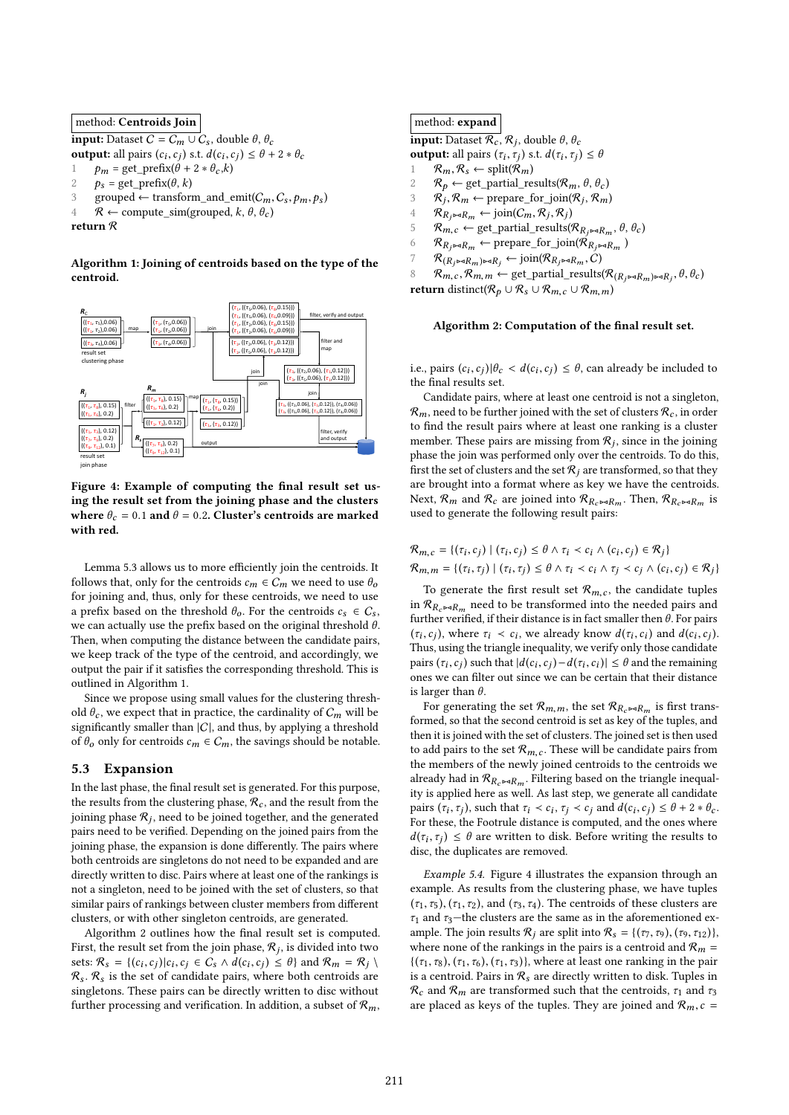## method: Centroids Join

**input:** Dataset  $C = C_m \cup C_s$ , double  $\theta$ ,  $\theta_c$ **output:** all pairs  $(c_i, c_j)$  s.t.  $d(c_i, c_j) \leq \theta + 2 * \theta_c$ 1  $p_m = \text{get\_prefix}(\theta + 2 * \theta_c, k)$ <br>2  $p_a = \text{get\_prefix}(\theta, k)$  $p_s = \text{get\_prefix}(\theta, k)$ 3 grouped ← transform\_and\_emit( $C_m$ ,  $C_s$ ,  $p_m$ ,  $p_s$ )<br>4  $R$  ← compute sim( $\sigma$ rouped  $k$   $\theta$   $\theta$ )  $\mathcal{R} \leftarrow$  compute sim(grouped, k,  $\theta$ ,  $\theta_c$ )

return R

Algorithm 1: Joining of centroids based on the type of the centroid.



Figure 4: Example of computing the final result set using the result set from the joining phase and the clusters where  $\theta_c = 0.1$  and  $\theta = 0.2$ . Cluster's centroids are marked with red.

Lemma 5.3 allows us to more efficiently join the centroids. It follows that, only for the centroids  $c_m \in C_m$  we need to use  $\theta_o$ for joining and, thus, only for these centroids, we need to use a prefix based on the threshold  $\theta_o$ . For the centroids  $c_s \in C_s$ , we can actually use the prefix based on the original threshold  $\theta$ . Then, when computing the distance between the candidate pairs, we keep track of the type of the centroid, and accordingly, we output the pair if it satisies the corresponding threshold. This is outlined in Algorithm 1.

Since we propose using small values for the clustering threshold  $\theta_c$ , we expect that in practice, the cardinality of  $C_m$  will be significantly smaller than  $|C|$ , and thus, by applying a threshold of  $\theta_o$  only for centroids  $c_m \in C_m$ , the savings should be notable.

## 5.3 Expansion

In the last phase, the final result set is generated. For this purpose, the results from the clustering phase,  $\mathcal{R}_c$ , and the result from the joining phase  $\mathcal{R}_j$ , need to be joined together, and the generated pairs need to be verified. Depending on the joined pairs from the joining phase, the expansion is done diferently. The pairs where both centroids are singletons do not need to be expanded and are directly written to disc. Pairs where at least one of the rankings is not a singleton, need to be joined with the set of clusters, so that similar pairs of rankings between cluster members from diferent clusters, or with other singleton centroids, are generated.

Algorithm 2 outlines how the final result set is computed. First, the result set from the join phase,  $\mathcal{R}_j$ , is divided into two sets:  $\mathcal{R}_s = \{(c_i, c_j) | c_i, c_j \in C_s \land d(c_i, c_j) \leq \theta\}$  and  $\mathcal{R}_m = \mathcal{R}_j \setminus d(c_i, c_j)$  $\mathcal{R}_s$ .  $\mathcal{R}_s$  is the set of candidate pairs, where both centroids are singletons. These pairs can be directly written to disc without further processing and verification. In addition, a subset of  $\mathcal{R}_m$ ,

#### method: expand

**input:** Dataset  $\mathcal{R}_c$ ,  $\mathcal{R}_j$ , double  $\theta$ ,  $\theta_c$ **output:** all pairs  $(\tau_i, \tau_j)$  s.t.  $d(\tau_i, \tau_j) \leq \theta$  $R_m, R_s \leftarrow \text{split}(\mathcal{R}_m)$ <br>2  $R_n \leftarrow \text{get partial re}$  $R_p \leftarrow$  get\_partial\_results( $\mathcal{R}_m$ ,  $\theta$ ,  $\theta_c$ )<br>3  $\mathcal{R}_i$ ,  $\mathcal{R}_m \leftarrow$  prepare for ioin( $\mathcal{R}_i$ ,  $\mathcal{R}_m$ )  $R_j, R_m \leftarrow \text{prepare\_for\_join}(R_j, R_m)$  $\mathcal{R}_{R_j \bowtie R_m} \leftarrow \text{join}(C_m, R_j, R_j)$  $R_{m,c} \leftarrow$  get\_partial\_results( $R_{R_j \rightarrow R_m}$ ,  $\theta$ ,  $\theta_c$ )<br>6  $R_{R \rightarrow aR} \leftarrow$  prepare for ioin( $R_{R \rightarrow aR}$ )  $R_{R_j \bowtie R_m} \leftarrow \text{prepare\_for\_join}(\mathcal{R}_{R_j \bowtie R_m})$ <br>7  $R_{(R_j \bowtie R_j) \bowtie R_j} \leftarrow \text{join}(\mathcal{R}_{R_j \bowtie R_j} \cdot C)$  $7 \qquad \mathcal{R}_{(R_j \bowtie R_m) \bowtie R_j} \leftarrow \text{join}(\mathcal{R}_{R_j \bowtie R_m}, C)$  $\mathcal{R}_{m,c}, \mathcal{R}_{m,m} \leftarrow \text{get\_partial\_results}(\mathcal{R}_{(R_j \bowtie R_m) \bowtie R_j}, \theta, \theta_c)$ return distinct( $\mathcal{R}_p \cup \mathcal{R}_s \cup \mathcal{R}_{m,c} \cup \mathcal{R}_{m,m}$ )

#### Algorithm 2: Computation of the final result set.

i.e., pairs  $(c_i, c_j) | \theta_c < d(c_i, c_j) \leq \theta$ , can already be included to the final results set.

Candidate pairs, where at least one centroid is not a singleton,  $\mathcal{R}_m$ , need to be further joined with the set of clusters  $\mathcal{R}_c$ , in order to find the result pairs where at least one ranking is a cluster member. These pairs are missing from  $\mathcal{R}_j$ , since in the joining phase the join was performed only over the centroids. To do this, first the set of clusters and the set  $\mathcal{R}_i$  are transformed, so that they are brought into a format where as key we have the centroids. Next,  $\mathcal{R}_m$  and  $\mathcal{R}_c$  are joined into  $\mathcal{R}_{R_c \bowtie R_m}$ . Then,  $\mathcal{R}_{R_c \bowtie R_m}$  is used to generate the following result pairs:

$$
\mathcal{R}_{m,c} = \{ (\tau_i, c_j) \mid (\tau_i, c_j) \le \theta \land \tau_i < c_i \land (c_i, c_j) \in \mathcal{R}_j \}
$$
\n
$$
\mathcal{R}_{m,m} = \{ (\tau_i, \tau_j) \mid (\tau_i, \tau_j) \le \theta \land \tau_i < c_i \land \tau_j < c_j \land (c_i, c_j) \in \mathcal{R}_j \}
$$

To generate the first result set  $\mathcal{R}_{m,c}$ , the candidate tuples in  $\mathcal{R}_{R_{\alpha} \triangleright \triangleleft R_{\alpha}}$  need to be transformed into the needed pairs and further verified, if their distance is in fact smaller then  $\theta$ . For pairs ( $\tau_i$ ,  $c_j$ ), where  $\tau_i \prec c_i$ , we already know  $d(\tau_i, c_i)$  and  $d(c_i, c_j)$ . Thus, using the triangle inequality, we verify only those candidate pairs  $(\tau_i, c_j)$  such that  $|d(c_i, c_j) - d(\tau_i, c_i)| \leq \theta$  and the remaining ones we can ilter out since we can be certain that their distance is larger than  $\theta$ .

For generating the set  $\mathcal{R}_{m,m}$ , the set  $\mathcal{R}_{R_c \rightarrow R_m}$  is first transformed, so that the second centroid is set as key of the tuples, and then it is joined with the set of clusters. The joined set is then used to add pairs to the set  $\mathcal{R}_{m,c}$ . These will be candidate pairs from the members of the newly joined centroids to the centroids we already had in  $\mathcal{R}_{R_c \rightarrow R_m}$ . Filtering based on the triangle inequality is applied here as well. As last step, we generate all candidate pairs  $(\tau_i, \tau_j)$ , such that  $\tau_i \prec c_i$ ,  $\tau_j \prec c_j$  and  $d(c_i, c_j) \leq \theta + 2 * \theta_c$ . For these, the Footrule distance is computed, and the ones where  $d(\tau_i, \tau_j) \leq \theta$  are written to disk. Before writing the results to disc, the duplicates are removed.

Example 5.4. Figure 4 illustrates the expansion through an example. As results from the clustering phase, we have tuples  $(\tau_1, \tau_5)$ ,  $(\tau_1, \tau_2)$ , and  $(\tau_3, \tau_4)$ . The centroids of these clusters are  $\tau_1$  and  $\tau_3$ —the clusters are the same as in the aforementioned example. The join results  $\mathcal{R}_i$  are split into  $\mathcal{R}_s = \{(\tau_7, \tau_9), (\tau_9, \tau_{12})\},\$ where none of the rankings in the pairs is a centroid and  $\mathcal{R}_m$  =  $\{(\tau_1, \tau_8), (\tau_1, \tau_6), (\tau_1, \tau_3)\}\$ , where at least one ranking in the pair is a centroid. Pairs in  $\mathcal{R}_s$  are directly written to disk. Tuples in  $\mathcal{R}_c$  and  $\mathcal{R}_m$  are transformed such that the centroids,  $\tau_1$  and  $\tau_3$ are placed as keys of the tuples. They are joined and  $\mathcal{R}_m$ ,  $c =$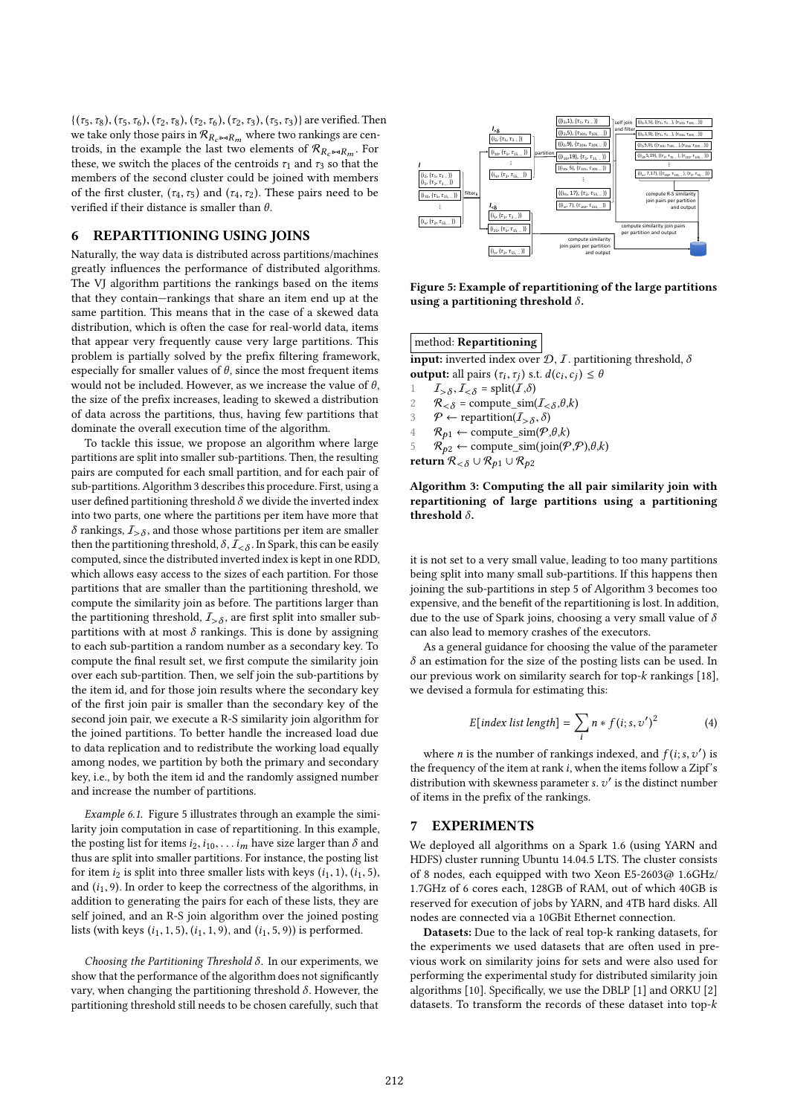$\{(\tau_5, \tau_8), (\tau_5, \tau_6), (\tau_2, \tau_8), (\tau_2, \tau_6), (\tau_2, \tau_3), (\tau_5, \tau_3)\}\$ are verified. Then we take only those pairs in  ${\mathcal{R}}_{R_c \bowtie R_m}$  where two rankings are centroids, in the example the last two elements of  $\mathcal{R}_{R_c}$   $\rightarrow$   $R_m$ . For these, we switch the places of the centroids  $\tau_1$  and  $\tau_3$  so that the members of the second cluster could be joined with members of the first cluster,  $(\tau_4, \tau_5)$  and  $(\tau_4, \tau_2)$ . These pairs need to be verified if their distance is smaller than  $\theta$ .

## 6 REPARTITIONING USING JOINS

Naturally, the way data is distributed across partitions/machines greatly inluences the performance of distributed algorithms. The VJ algorithm partitions the rankings based on the items that they contain–rankings that share an item end up at the same partition. This means that in the case of a skewed data distribution, which is often the case for real-world data, items that appear very frequently cause very large partitions. This problem is partially solved by the prefix filtering framework, especially for smaller values of  $\theta$ , since the most frequent items would not be included. However, as we increase the value of  $\theta$ , the size of the prefix increases, leading to skewed a distribution of data across the partitions, thus, having few partitions that dominate the overall execution time of the algorithm.

To tackle this issue, we propose an algorithm where large partitions are split into smaller sub-partitions. Then, the resulting pairs are computed for each small partition, and for each pair of sub-partitions. Algorithm 3 describes this procedure. First, using a user defined partitioning threshold  $\delta$  we divide the inverted index into two parts, one where the partitions per item have more that  $\delta$  rankings,  $I_{>\delta}$ , and those whose partitions per item are smaller then the partitioning threshold,  $\delta$ ,  $\mathcal{I}_{<\delta}$ . In Spark, this can be easily computed, since the distributed inverted index is kept in one RDD, which allows easy access to the sizes of each partition. For those partitions that are smaller than the partitioning threshold, we compute the similarity join as before. The partitions larger than the partitioning threshold,  $I_{>\delta}$ , are first split into smaller subpartitions with at most  $\delta$  rankings. This is done by assigning to each sub-partition a random number as a secondary key. To compute the final result set, we first compute the similarity join over each sub-partition. Then, we self join the sub-partitions by the item id, and for those join results where the secondary key of the irst join pair is smaller than the secondary key of the second join pair, we execute a R-S similarity join algorithm for the joined partitions. To better handle the increased load due to data replication and to redistribute the working load equally among nodes, we partition by both the primary and secondary key, i.e., by both the item id and the randomly assigned number and increase the number of partitions.

Example 6.1. Figure 5 illustrates through an example the similarity join computation in case of repartitioning. In this example, the posting list for items  $i_2, i_{10}, \ldots i_m$  have size larger than  $\delta$  and thus are split into smaller partitions. For instance, the posting list for item  $i_2$  is split into three smaller lists with keys  $(i_1, 1), (i_1, 5)$ , and  $(i_1, 9)$ . In order to keep the correctness of the algorithms, in addition to generating the pairs for each of these lists, they are self joined, and an R-S join algorithm over the joined posting lists (with keys  $(i_1, 1, 5)$ ,  $(i_1, 1, 9)$ , and  $(i_1, 5, 9)$ ) is performed.

Choosing the Partitioning Threshold  $\delta$ . In our experiments, we show that the performance of the algorithm does not significantly vary, when changing the partitioning threshold  $\delta$ . However, the partitioning threshold still needs to be chosen carefully, such that



Figure 5: Example of repartitioning of the large partitions using a partitioning threshold  $\delta$ .

## method: Repartitioning

input: inverted index over  $\mathcal{D}, \mathcal{I}$ . partitioning threshold,  $\delta$ **output:** all pairs  $(\tau_i, \tau_j)$  s.t.  $d(c_i, c_j) \leq \theta$ 

- 1  $I_{>\delta}, I_{<\delta}$  = split(*I*, $\delta$ )
- 2  $R_{< \delta} = \text{compute\_sim}(I_{< \delta}, \theta, k)$
- 3  $\mathcal{P} \leftarrow \text{repartition}(I_{>\delta}, \delta)$
- $\mathcal{R}_{p1} \leftarrow \text{compute\_sim}(\mathcal{P}, \theta, k)$ <br>5 R<sub>p2</sub> ← compute sim(ioin( $\mathcal{P}$
- $\mathcal{R}_{p2} \leftarrow \text{compute\_sim}(join(\mathcal{P}, \mathcal{P}), \theta, k)$

return  $\mathcal{R}_{<\delta} \cup \mathcal{R}_{p1} \cup \mathcal{R}_{p2}$ 

## Algorithm 3: Computing the all pair similarity join with repartitioning of large partitions using a partitioning threshold  $\delta$ .

it is not set to a very small value, leading to too many partitions being split into many small sub-partitions. If this happens then joining the sub-partitions in step 5 of Algorithm 3 becomes too expensive, and the benefit of the repartitioning is lost. In addition, due to the use of Spark joins, choosing a very small value of  $\delta$ can also lead to memory crashes of the executors.

As a general guidance for choosing the value of the parameter  $\delta$  an estimation for the size of the posting lists can be used. In our previous work on similarity search for top-k rankings [18], we devised a formula for estimating this:

$$
E[\text{index list length}] = \sum_{i} n * f(i; s, v')^2 \tag{4}
$$

where *n* is the number of rankings indexed, and  $f(i; s, v')$  is the frequency of the item at rank i, when the items follow a Zipf's distribution with skewness parameter  $s. v'$  is the distinct number of items in the prefix of the rankings.

## 7 EXPERIMENTS

We deployed all algorithms on a Spark 1.6 (using YARN and HDFS) cluster running Ubuntu 14.04.5 LTS. The cluster consists of 8 nodes, each equipped with two Xeon E5-2603@ 1.6GHz/ 1.7GHz of 6 cores each, 128GB of RAM, out of which 40GB is reserved for execution of jobs by YARN, and 4TB hard disks. All nodes are connected via a 10GBit Ethernet connection.

Datasets: Due to the lack of real top-k ranking datasets, for the experiments we used datasets that are often used in previous work on similarity joins for sets and were also used for performing the experimental study for distributed similarity join algorithms [10]. Specifically, we use the DBLP [1] and ORKU [2] datasets. To transform the records of these dataset into top-k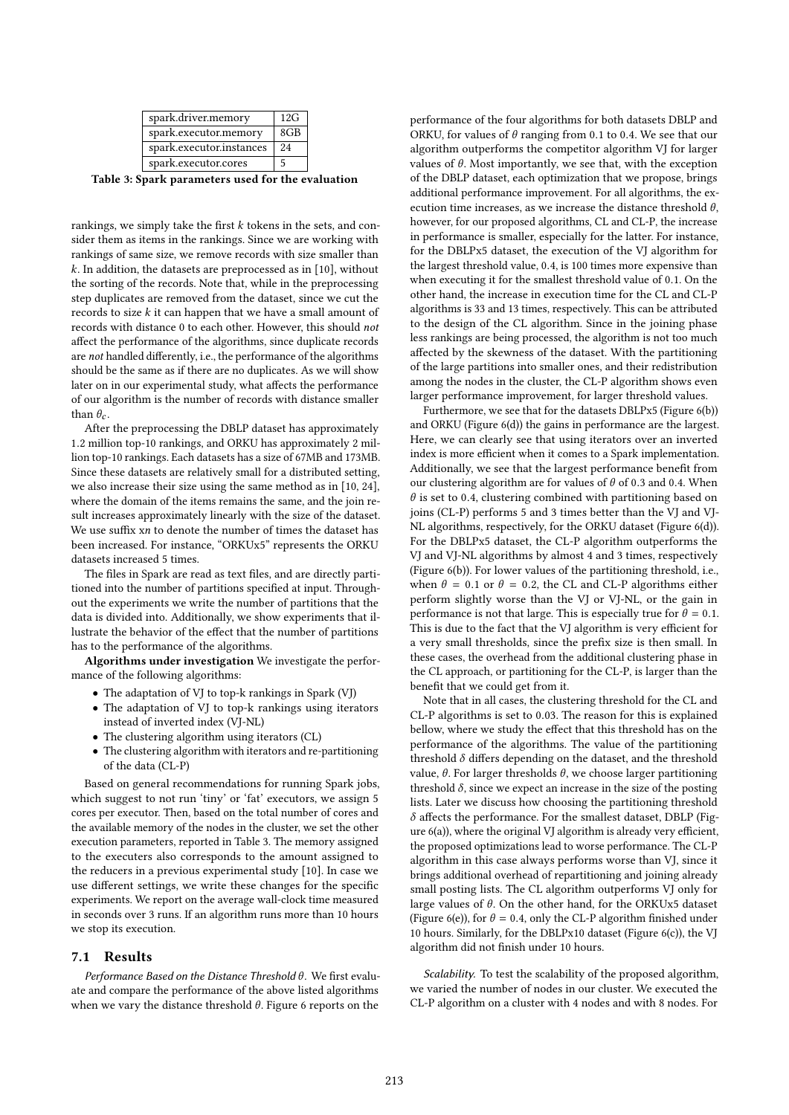| spark.driver.memory      | 12G             |
|--------------------------|-----------------|
| spark.executor.memory    | 8 <sub>GB</sub> |
| spark.executor.instances | 2.4             |
| spark.executor.cores     | 5               |

Table 3: Spark parameters used for the evaluation

rankings, we simply take the first  $k$  tokens in the sets, and consider them as items in the rankings. Since we are working with rankings of same size, we remove records with size smaller than k. In addition, the datasets are preprocessed as in [10], without the sorting of the records. Note that, while in the preprocessing step duplicates are removed from the dataset, since we cut the records to size k it can happen that we have a small amount of records with distance 0 to each other. However, this should not afect the performance of the algorithms, since duplicate records are not handled diferently, i.e., the performance of the algorithms should be the same as if there are no duplicates. As we will show later on in our experimental study, what afects the performance of our algorithm is the number of records with distance smaller than  $\theta_c$ .

After the preprocessing the DBLP dataset has approximately 1.2 million top-10 rankings, and ORKU has approximately 2 million top-10 rankings. Each datasets has a size of 67MB and 173MB. Since these datasets are relatively small for a distributed setting, we also increase their size using the same method as in [10, 24], where the domain of the items remains the same, and the join result increases approximately linearly with the size of the dataset. We use suffix xn to denote the number of times the dataset has been increased. For instance, "ORKUx5" represents the ORKU datasets increased 5 times.

The files in Spark are read as text files, and are directly partitioned into the number of partitions specified at input. Throughout the experiments we write the number of partitions that the data is divided into. Additionally, we show experiments that illustrate the behavior of the efect that the number of partitions has to the performance of the algorithms.

Algorithms under investigation We investigate the performance of the following algorithms:

- The adaptation of VJ to top-k rankings in Spark (VJ)
- The adaptation of VJ to top-k rankings using iterators instead of inverted index (VJ-NL)
- The clustering algorithm using iterators (CL)
- The clustering algorithm with iterators and re-partitioning of the data (CL-P)

Based on general recommendations for running Spark jobs, which suggest to not run 'tiny' or 'fat' executors, we assign 5 cores per executor. Then, based on the total number of cores and the available memory of the nodes in the cluster, we set the other execution parameters, reported in Table 3. The memory assigned to the executers also corresponds to the amount assigned to the reducers in a previous experimental study [10]. In case we use different settings, we write these changes for the specific experiments. We report on the average wall-clock time measured in seconds over 3 runs. If an algorithm runs more than 10 hours we stop its execution.

#### 7.1 Results

Performance Based on the Distance Threshold  $\theta$ . We first evaluate and compare the performance of the above listed algorithms when we vary the distance threshold  $\theta$ . Figure 6 reports on the

performance of the four algorithms for both datasets DBLP and ORKU, for values of  $\theta$  ranging from 0.1 to 0.4. We see that our algorithm outperforms the competitor algorithm VJ for larger values of  $\theta$ . Most importantly, we see that, with the exception of the DBLP dataset, each optimization that we propose, brings additional performance improvement. For all algorithms, the execution time increases, as we increase the distance threshold  $\theta$ , however, for our proposed algorithms, CL and CL-P, the increase in performance is smaller, especially for the latter. For instance, for the DBLPx5 dataset, the execution of the VJ algorithm for the largest threshold value, 0.4, is 100 times more expensive than when executing it for the smallest threshold value of 0.1. On the other hand, the increase in execution time for the CL and CL-P algorithms is 33 and 13 times, respectively. This can be attributed to the design of the CL algorithm. Since in the joining phase less rankings are being processed, the algorithm is not too much afected by the skewness of the dataset. With the partitioning of the large partitions into smaller ones, and their redistribution among the nodes in the cluster, the CL-P algorithm shows even larger performance improvement, for larger threshold values.

Furthermore, we see that for the datasets DBLPx5 (Figure 6(b)) and ORKU (Figure 6(d)) the gains in performance are the largest. Here, we can clearly see that using iterators over an inverted index is more efficient when it comes to a Spark implementation. Additionally, we see that the largest performance benefit from our clustering algorithm are for values of  $\theta$  of 0.3 and 0.4. When  $\theta$  is set to 0.4, clustering combined with partitioning based on joins (CL-P) performs 5 and 3 times better than the VJ and VJ-NL algorithms, respectively, for the ORKU dataset (Figure 6(d)). For the DBLPx5 dataset, the CL-P algorithm outperforms the VJ and VJ-NL algorithms by almost 4 and 3 times, respectively (Figure 6(b)). For lower values of the partitioning threshold, i.e., when  $\theta = 0.1$  or  $\theta = 0.2$ , the CL and CL-P algorithms either perform slightly worse than the VJ or VJ-NL, or the gain in performance is not that large. This is especially true for  $\theta = 0.1$ . This is due to the fact that the VJ algorithm is very efficient for a very small thresholds, since the prefix size is then small. In these cases, the overhead from the additional clustering phase in the CL approach, or partitioning for the CL-P, is larger than the benefit that we could get from it.

Note that in all cases, the clustering threshold for the CL and CL-P algorithms is set to 0.03. The reason for this is explained bellow, where we study the effect that this threshold has on the performance of the algorithms. The value of the partitioning threshold  $\delta$  differs depending on the dataset, and the threshold value,  $θ$ . For larger thresholds  $θ$ , we choose larger partitioning threshold  $\delta$ , since we expect an increase in the size of the posting lists. Later we discuss how choosing the partitioning threshold  $\delta$  affects the performance. For the smallest dataset, DBLP (Figure  $6(a)$ ), where the original VJ algorithm is already very efficient, the proposed optimizations lead to worse performance. The CL-P algorithm in this case always performs worse than VJ, since it brings additional overhead of repartitioning and joining already small posting lists. The CL algorithm outperforms VJ only for large values of  $\theta$ . On the other hand, for the ORKUx5 dataset (Figure 6(e)), for  $\theta = 0.4$ , only the CL-P algorithm finished under 10 hours. Similarly, for the DBLPx10 dataset (Figure 6(c)), the VJ algorithm did not finish under 10 hours.

Scalability. To test the scalability of the proposed algorithm, we varied the number of nodes in our cluster. We executed the CL-P algorithm on a cluster with 4 nodes and with 8 nodes. For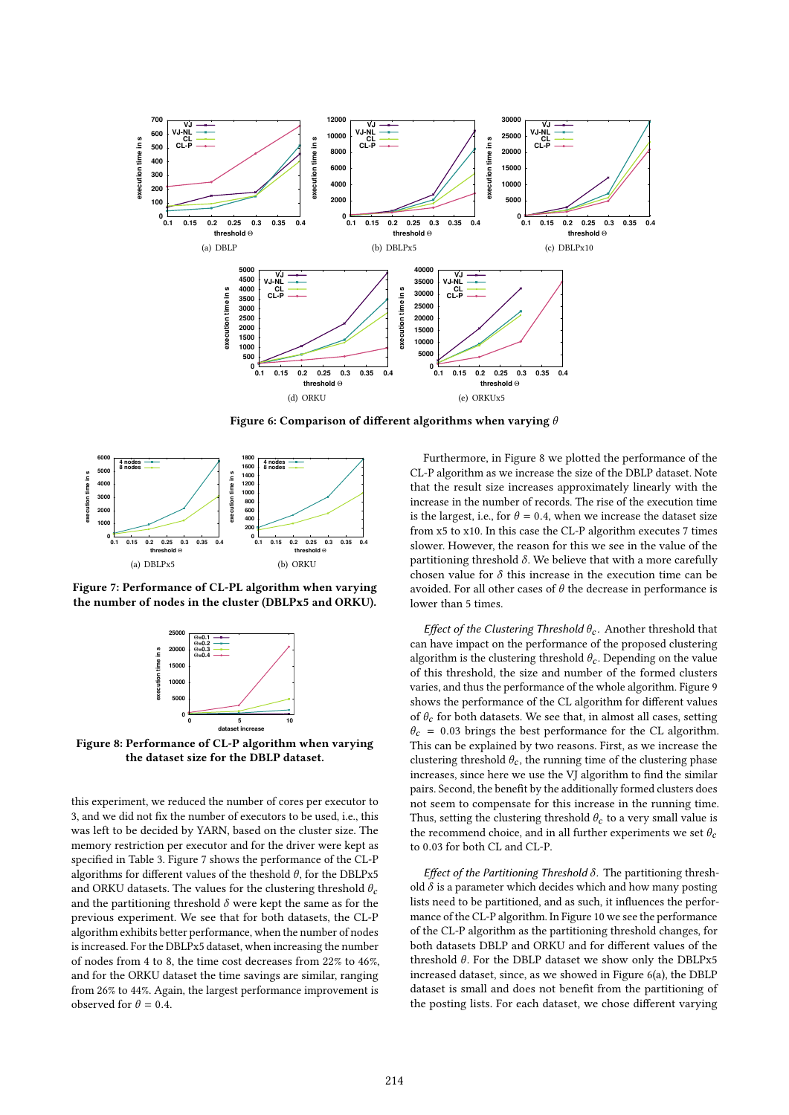

Figure 6: Comparison of different algorithms when varying  $\theta$ 



Figure 7: Performance of CL-PL algorithm when varying the number of nodes in the cluster (DBLPx5 and ORKU).



Figure 8: Performance of CL-P algorithm when varying the dataset size for the DBLP dataset.

this experiment, we reduced the number of cores per executor to 3, and we did not fix the number of executors to be used, i.e., this was left to be decided by YARN, based on the cluster size. The memory restriction per executor and for the driver were kept as specified in Table 3. Figure 7 shows the performance of the CL-P algorithms for different values of the theshold  $\theta$ , for the DBLPx5 and ORKU datasets. The values for the clustering threshold  $\theta_c$ and the partitioning threshold  $\delta$  were kept the same as for the previous experiment. We see that for both datasets, the CL-P algorithm exhibits better performance, when the number of nodes is increased. For the DBLPx5 dataset, when increasing the number of nodes from 4 to 8, the time cost decreases from 22% to 46%, and for the ORKU dataset the time savings are similar, ranging from 26% to 44%. Again, the largest performance improvement is observed for  $\theta = 0.4$ .

Furthermore, in Figure 8 we plotted the performance of the CL-P algorithm as we increase the size of the DBLP dataset. Note that the result size increases approximately linearly with the increase in the number of records. The rise of the execution time is the largest, i.e., for  $\theta = 0.4$ , when we increase the dataset size from x5 to x10. In this case the CL-P algorithm executes 7 times slower. However, the reason for this we see in the value of the partitioning threshold  $\delta$ . We believe that with a more carefully chosen value for  $\delta$  this increase in the execution time can be avoided. For all other cases of  $\theta$  the decrease in performance is lower than 5 times.

Effect of the Clustering Threshold  $\theta_c$ . Another threshold that can have impact on the performance of the proposed clustering algorithm is the clustering threshold  $\theta_c$ . Depending on the value of this threshold, the size and number of the formed clusters varies, and thus the performance of the whole algorithm. Figure 9 shows the performance of the CL algorithm for diferent values of  $\theta_c$  for both datasets. We see that, in almost all cases, setting  $\theta_c$  = 0.03 brings the best performance for the CL algorithm. This can be explained by two reasons. First, as we increase the clustering threshold  $\theta_c$ , the running time of the clustering phase increases, since here we use the VJ algorithm to find the similar pairs. Second, the benefit by the additionally formed clusters does not seem to compensate for this increase in the running time. Thus, setting the clustering threshold  $\theta_c$  to a very small value is the recommend choice, and in all further experiments we set  $\theta_c$ to 0.03 for both CL and CL-P.

Effect of the Partitioning Threshold  $\delta$ . The partitioning threshold  $\delta$  is a parameter which decides which and how many posting lists need to be partitioned, and as such, it inluences the performance of the CL-P algorithm. In Figure 10 we see the performance of the CL-P algorithm as the partitioning threshold changes, for both datasets DBLP and ORKU and for diferent values of the threshold  $\theta$ . For the DBLP dataset we show only the DBLPx5 increased dataset, since, as we showed in Figure 6(a), the DBLP dataset is small and does not benefit from the partitioning of the posting lists. For each dataset, we chose diferent varying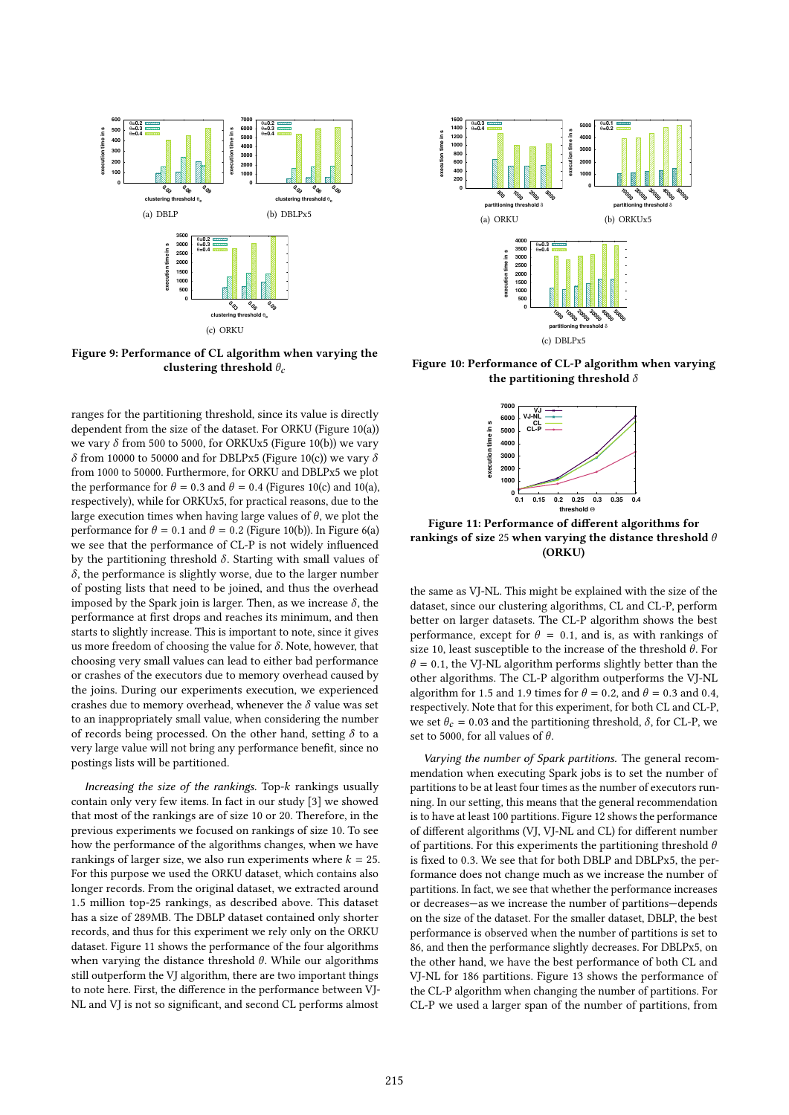

Figure 9: Performance of CL algorithm when varying the clustering threshold  $\theta_c$ 

ranges for the partitioning threshold, since its value is directly dependent from the size of the dataset. For ORKU (Figure 10(a)) we vary  $\delta$  from 500 to 5000, for ORKUx5 (Figure 10(b)) we vary δ from 10000 to 50000 and for DBLPx5 (Figure 10(c)) we vary δ from 1000 to 50000. Furthermore, for ORKU and DBLPx5 we plot the performance for  $\theta = 0.3$  and  $\theta = 0.4$  (Figures 10(c) and 10(a), respectively), while for ORKUx5, for practical reasons, due to the large execution times when having large values of  $\theta$ , we plot the performance for  $\theta = 0.1$  and  $\theta = 0.2$  (Figure 10(b)). In Figure 6(a) we see that the performance of CL-P is not widely inluenced by the partitioning threshold  $\delta$ . Starting with small values of  $\delta$ , the performance is slightly worse, due to the larger number of posting lists that need to be joined, and thus the overhead imposed by the Spark join is larger. Then, as we increase  $\delta$ , the performance at first drops and reaches its minimum, and then starts to slightly increase. This is important to note, since it gives us more freedom of choosing the value for  $\delta$ . Note, however, that choosing very small values can lead to either bad performance or crashes of the executors due to memory overhead caused by the joins. During our experiments execution, we experienced crashes due to memory overhead, whenever the  $\delta$  value was set to an inappropriately small value, when considering the number of records being processed. On the other hand, setting  $\delta$  to a very large value will not bring any performance benefit, since no postings lists will be partitioned.

Increasing the size of the rankings. Top-k rankings usually contain only very few items. In fact in our study [3] we showed that most of the rankings are of size 10 or 20. Therefore, in the previous experiments we focused on rankings of size 10. To see how the performance of the algorithms changes, when we have rankings of larger size, we also run experiments where  $k = 25$ . For this purpose we used the ORKU dataset, which contains also longer records. From the original dataset, we extracted around 1.5 million top-25 rankings, as described above. This dataset has a size of 289MB. The DBLP dataset contained only shorter records, and thus for this experiment we rely only on the ORKU dataset. Figure 11 shows the performance of the four algorithms when varying the distance threshold  $\theta$ . While our algorithms still outperform the VJ algorithm, there are two important things to note here. First, the diference in the performance between VJ-NL and VJ is not so significant, and second CL performs almost



Figure 10: Performance of CL-P algorithm when varying the partitioning threshold  $\delta$ 



Figure 11: Performance of diferent algorithms for rankings of size 25 when varying the distance threshold  $\theta$ (ORKU)

the same as VJ-NL. This might be explained with the size of the dataset, since our clustering algorithms, CL and CL-P, perform better on larger datasets. The CL-P algorithm shows the best performance, except for  $\theta = 0.1$ , and is, as with rankings of size 10, least susceptible to the increase of the threshold  $\theta$ . For  $\theta$  = 0.1, the VJ-NL algorithm performs slightly better than the other algorithms. The CL-P algorithm outperforms the VJ-NL algorithm for 1.5 and 1.9 times for  $\theta = 0.2$ , and  $\theta = 0.3$  and 0.4, respectively. Note that for this experiment, for both CL and CL-P, we set  $\theta_c = 0.03$  and the partitioning threshold,  $\delta$ , for CL-P, we set to 5000, for all values of  $\theta$ .

Varying the number of Spark partitions. The general recommendation when executing Spark jobs is to set the number of partitions to be at least four times as the number of executors running. In our setting, this means that the general recommendation is to have at least 100 partitions. Figure 12 shows the performance of diferent algorithms (VJ, VJ-NL and CL) for diferent number of partitions. For this experiments the partitioning threshold  $\theta$ is ixed to 0.3. We see that for both DBLP and DBLPx5, the performance does not change much as we increase the number of partitions. In fact, we see that whether the performance increases or decreases—as we increase the number of partitions—depends on the size of the dataset. For the smaller dataset, DBLP, the best performance is observed when the number of partitions is set to 86, and then the performance slightly decreases. For DBLPx5, on the other hand, we have the best performance of both CL and VJ-NL for 186 partitions. Figure 13 shows the performance of the CL-P algorithm when changing the number of partitions. For CL-P we used a larger span of the number of partitions, from